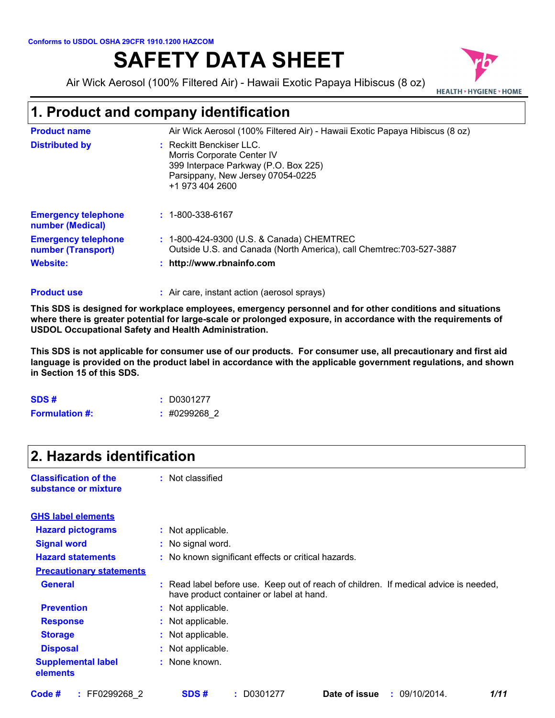# **SAFETY DATA SHEET**

Air Wick Aerosol (100% Filtered Air) - Hawaii Exotic Papaya Hibiscus (8 oz)



### **1. Product and company identification**

| <b>Product name</b>                              | Air Wick Aerosol (100% Filtered Air) - Hawaii Exotic Papaya Hibiscus (8 oz)                                                                                |
|--------------------------------------------------|------------------------------------------------------------------------------------------------------------------------------------------------------------|
| <b>Distributed by</b>                            | $\pm$ Reckitt Benckiser LLC.<br>Morris Corporate Center IV<br>399 Interpace Parkway (P.O. Box 225)<br>Parsippany, New Jersey 07054-0225<br>+1 973 404 2600 |
| <b>Emergency telephone</b><br>number (Medical)   | $: 1 - 800 - 338 - 6167$                                                                                                                                   |
| <b>Emergency telephone</b><br>number (Transport) | : 1-800-424-9300 (U.S. & Canada) CHEMTREC<br>Outside U.S. and Canada (North America), call Chemtrec: 703-527-3887                                          |
| Website:                                         | : http://www.rbnainfo.com                                                                                                                                  |

#### Air care, instant action (aerosol sprays) **: Product use**

**This SDS is designed for workplace employees, emergency personnel and for other conditions and situations where there is greater potential for large-scale or prolonged exposure, in accordance with the requirements of USDOL Occupational Safety and Health Administration.**

**This SDS is not applicable for consumer use of our products. For consumer use, all precautionary and first aid language is provided on the product label in accordance with the applicable government regulations, and shown in Section 15 of this SDS.**

| SDS#                  | $:$ D0301277   |
|-----------------------|----------------|
| <b>Formulation #:</b> | $:$ #0299268 2 |

### **2. Hazards identification**

| <b>Classification of the</b> | : Not classified |
|------------------------------|------------------|
| substance or mixture         |                  |

| <b>Hazard pictograms</b>              | : Not applicable.                                                                                                                |
|---------------------------------------|----------------------------------------------------------------------------------------------------------------------------------|
| <b>Signal word</b>                    | : No signal word.                                                                                                                |
| <b>Hazard statements</b>              | : No known significant effects or critical hazards.                                                                              |
| <b>Precautionary statements</b>       |                                                                                                                                  |
| <b>General</b>                        | : Read label before use. Keep out of reach of children. If medical advice is needed,<br>have product container or label at hand. |
| <b>Prevention</b>                     | : Not applicable.                                                                                                                |
| <b>Response</b>                       | : Not applicable.                                                                                                                |
| <b>Storage</b>                        | : Not applicable.                                                                                                                |
| <b>Disposal</b>                       | : Not applicable.                                                                                                                |
| <b>Supplemental label</b><br>elements | : None known.                                                                                                                    |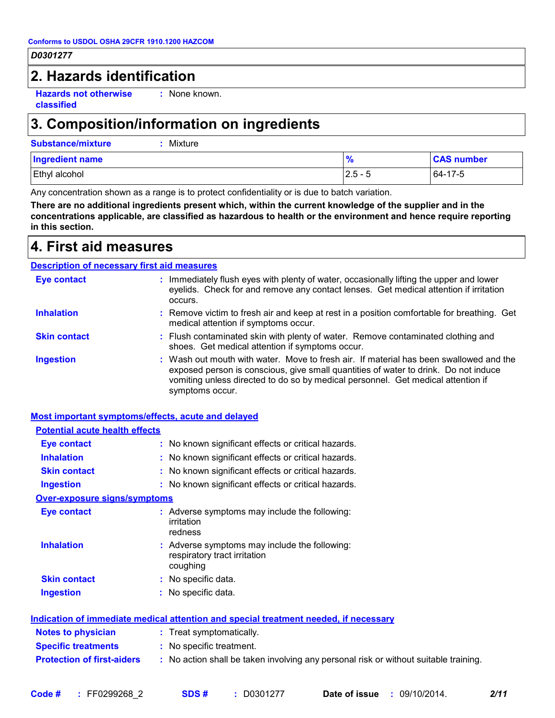### **2. Hazards identification**

**Hazards not otherwise classified**

**:** None known.

### **3. Composition/information on ingredients**

**Substance/mixture :** Mixture

| <b>Ingredient name</b> | $\overline{\mathbf{r}}$ | <b>CAS number</b> |
|------------------------|-------------------------|-------------------|
| Ethyl alcohol          | $2.5 - 5$               | 64-17-5           |

Any concentration shown as a range is to protect confidentiality or is due to batch variation.

**There are no additional ingredients present which, within the current knowledge of the supplier and in the concentrations applicable, are classified as hazardous to health or the environment and hence require reporting in this section.**

### **4. First aid measures**

#### : Wash out mouth with water. Move to fresh air. If material has been swallowed and the exposed person is conscious, give small quantities of water to drink. Do not induce vomiting unless directed to do so by medical personnel. Get medical attention if symptoms occur. **:** Immediately flush eyes with plenty of water, occasionally lifting the upper and lower eyelids. Check for and remove any contact lenses. Get medical attention if irritation occurs. Flush contaminated skin with plenty of water. Remove contaminated clothing and **:** shoes. Get medical attention if symptoms occur. Remove victim to fresh air and keep at rest in a position comfortable for breathing. Get **:** medical attention if symptoms occur. **Eye contact Skin contact Inhalation Ingestion : Description of necessary first aid measures**

#### **Most important symptoms/effects, acute and delayed**

| <b>Potential acute health effects</b> |                                                                                             |
|---------------------------------------|---------------------------------------------------------------------------------------------|
| <b>Eye contact</b>                    | : No known significant effects or critical hazards.                                         |
| <b>Inhalation</b>                     | : No known significant effects or critical hazards.                                         |
| <b>Skin contact</b>                   | : No known significant effects or critical hazards.                                         |
| <b>Ingestion</b>                      | : No known significant effects or critical hazards.                                         |
| <b>Over-exposure signs/symptoms</b>   |                                                                                             |
| Eye contact                           | : Adverse symptoms may include the following:<br>irritation<br>redness                      |
| <b>Inhalation</b>                     | : Adverse symptoms may include the following:<br>respiratory tract irritation<br>coughing   |
| <b>Skin contact</b>                   | : No specific data.                                                                         |
| <b>Ingestion</b>                      | : No specific data.                                                                         |
|                                       | <u>Indication of immediate medical attention and special treatment needed, if necessary</u> |
| <b>Notes to physician</b>             | : Treat symptomatically.                                                                    |
| <b>Specific treatments</b>            | : No specific treatment.                                                                    |
| <b>Protection of first-aiders</b>     | : No action shall be taken involving any personal risk or without suitable training.        |
|                                       |                                                                                             |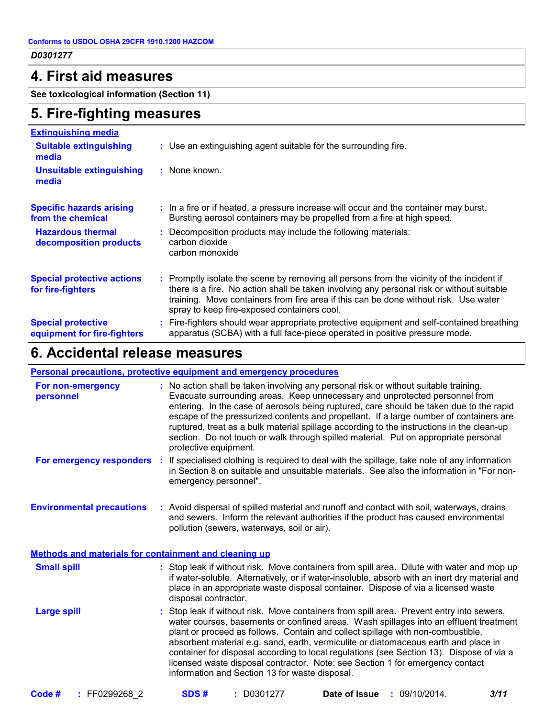### **4. First aid measures**

**See toxicological information (Section 11)**

### **5. Fire-fighting measures**

| <b>Extinguishing media</b>                               |                                                                                                                                                                                                                                                                                                                               |
|----------------------------------------------------------|-------------------------------------------------------------------------------------------------------------------------------------------------------------------------------------------------------------------------------------------------------------------------------------------------------------------------------|
| <b>Suitable extinguishing</b><br>media                   | : Use an extinguishing agent suitable for the surrounding fire.                                                                                                                                                                                                                                                               |
| <b>Unsuitable extinguishing</b><br>media                 | : None known.                                                                                                                                                                                                                                                                                                                 |
| <b>Specific hazards arising</b><br>from the chemical     | : In a fire or if heated, a pressure increase will occur and the container may burst.<br>Bursting aerosol containers may be propelled from a fire at high speed.                                                                                                                                                              |
| <b>Hazardous thermal</b><br>decomposition products       | : Decomposition products may include the following materials:<br>carbon dioxide<br>carbon monoxide                                                                                                                                                                                                                            |
| <b>Special protective actions</b><br>for fire-fighters   | : Promptly isolate the scene by removing all persons from the vicinity of the incident if<br>there is a fire. No action shall be taken involving any personal risk or without suitable<br>training. Move containers from fire area if this can be done without risk. Use water<br>spray to keep fire-exposed containers cool. |
| <b>Special protective</b><br>equipment for fire-fighters | : Fire-fighters should wear appropriate protective equipment and self-contained breathing<br>apparatus (SCBA) with a full face-piece operated in positive pressure mode.                                                                                                                                                      |

### **6. Accidental release measures**

### **Personal precautions, protective equipment and emergency procedures**

| For non-emergency<br>personnel                               | : No action shall be taken involving any personal risk or without suitable training.<br>Evacuate surrounding areas. Keep unnecessary and unprotected personnel from<br>entering. In the case of aerosols being ruptured, care should be taken due to the rapid<br>escape of the pressurized contents and propellant. If a large number of containers are<br>ruptured, treat as a bulk material spillage according to the instructions in the clean-up<br>section. Do not touch or walk through spilled material. Put on appropriate personal<br>protective equipment.                      |
|--------------------------------------------------------------|--------------------------------------------------------------------------------------------------------------------------------------------------------------------------------------------------------------------------------------------------------------------------------------------------------------------------------------------------------------------------------------------------------------------------------------------------------------------------------------------------------------------------------------------------------------------------------------------|
| For emergency responders                                     | : If specialised clothing is required to deal with the spillage, take note of any information<br>in Section 8 on suitable and unsuitable materials. See also the information in "For non-<br>emergency personnel".                                                                                                                                                                                                                                                                                                                                                                         |
| <b>Environmental precautions</b>                             | : Avoid dispersal of spilled material and runoff and contact with soil, waterways, drains<br>and sewers. Inform the relevant authorities if the product has caused environmental<br>pollution (sewers, waterways, soil or air).                                                                                                                                                                                                                                                                                                                                                            |
| <b>Methods and materials for containment and cleaning up</b> |                                                                                                                                                                                                                                                                                                                                                                                                                                                                                                                                                                                            |
| <b>Small spill</b>                                           | : Stop leak if without risk. Move containers from spill area. Dilute with water and mop up<br>if water-soluble. Alternatively, or if water-insoluble, absorb with an inert dry material and<br>place in an appropriate waste disposal container. Dispose of via a licensed waste<br>disposal contractor.                                                                                                                                                                                                                                                                                   |
| <b>Large spill</b>                                           | : Stop leak if without risk. Move containers from spill area. Prevent entry into sewers,<br>water courses, basements or confined areas. Wash spillages into an effluent treatment<br>plant or proceed as follows. Contain and collect spillage with non-combustible,<br>absorbent material e.g. sand, earth, vermiculite or diatomaceous earth and place in<br>container for disposal according to local regulations (see Section 13). Dispose of via a<br>licensed waste disposal contractor. Note: see Section 1 for emergency contact<br>information and Section 13 for waste disposal. |
|                                                              |                                                                                                                                                                                                                                                                                                                                                                                                                                                                                                                                                                                            |

| Code # | FF0299268 2 | SDS# | D0301277 | Date of issue | 09/10/2014. | 3/11 |
|--------|-------------|------|----------|---------------|-------------|------|
|--------|-------------|------|----------|---------------|-------------|------|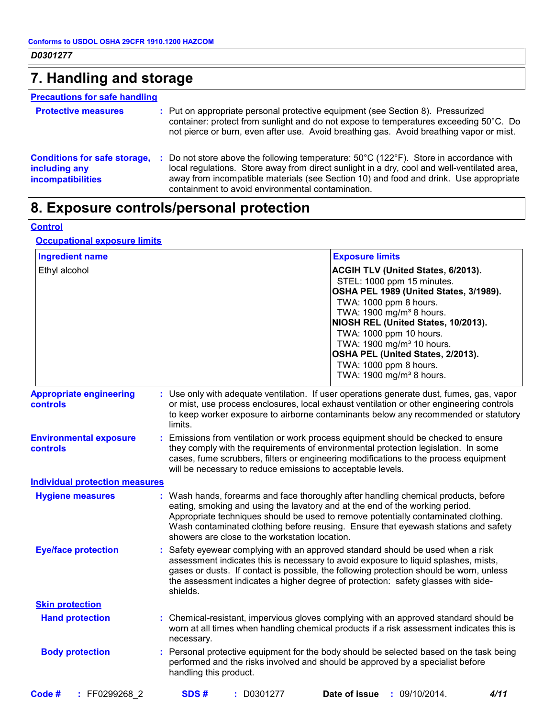# **7. Handling and storage**

### **Precautions for safe handling**

| <b>Protective measures</b>                                                       | : Put on appropriate personal protective equipment (see Section 8). Pressurized<br>container: protect from sunlight and do not expose to temperatures exceeding 50°C. Do<br>not pierce or burn, even after use. Avoid breathing gas. Avoid breathing vapor or mist.                                                                                      |
|----------------------------------------------------------------------------------|----------------------------------------------------------------------------------------------------------------------------------------------------------------------------------------------------------------------------------------------------------------------------------------------------------------------------------------------------------|
| <b>Conditions for safe storage,</b><br>including any<br><b>incompatibilities</b> | : Do not store above the following temperature: $50^{\circ}$ C (122 $^{\circ}$ F). Store in accordance with<br>local regulations. Store away from direct sunlight in a dry, cool and well-ventilated area,<br>away from incompatible materials (see Section 10) and food and drink. Use appropriate<br>containment to avoid environmental contamination. |

# **8. Exposure controls/personal protection**

#### **Control**

### **Occupational exposure limits**

| <b>Ingredient name</b>                     | <b>Exposure limits</b>                                                                                                                                                                                                                                                                                                                                                                            |                                        |
|--------------------------------------------|---------------------------------------------------------------------------------------------------------------------------------------------------------------------------------------------------------------------------------------------------------------------------------------------------------------------------------------------------------------------------------------------------|----------------------------------------|
| Ethyl alcohol                              | ACGIH TLV (United States, 6/2013).<br>STEL: 1000 ppm 15 minutes.<br>TWA: 1000 ppm 8 hours.<br>TWA: 1900 mg/m <sup>3</sup> 8 hours.<br>NIOSH REL (United States, 10/2013).<br>TWA: 1000 ppm 10 hours.<br>TWA: 1900 mg/m <sup>3</sup> 10 hours.<br>OSHA PEL (United States, 2/2013).<br>TWA: 1000 ppm 8 hours.<br>TWA: 1900 mg/m <sup>3</sup> 8 hours.                                              | OSHA PEL 1989 (United States, 3/1989). |
| <b>Appropriate engineering</b><br>controls | : Use only with adequate ventilation. If user operations generate dust, fumes, gas, vapor<br>or mist, use process enclosures, local exhaust ventilation or other engineering controls<br>to keep worker exposure to airborne contaminants below any recommended or statutory<br>limits.                                                                                                           |                                        |
| <b>Environmental exposure</b><br>controls  | : Emissions from ventilation or work process equipment should be checked to ensure<br>they comply with the requirements of environmental protection legislation. In some<br>cases, fume scrubbers, filters or engineering modifications to the process equipment<br>will be necessary to reduce emissions to acceptable levels.                                                                   |                                        |
| <b>Individual protection measures</b>      |                                                                                                                                                                                                                                                                                                                                                                                                   |                                        |
| <b>Hygiene measures</b>                    | : Wash hands, forearms and face thoroughly after handling chemical products, before<br>eating, smoking and using the lavatory and at the end of the working period.<br>Appropriate techniques should be used to remove potentially contaminated clothing.<br>Wash contaminated clothing before reusing. Ensure that eyewash stations and safety<br>showers are close to the workstation location. |                                        |
| <b>Eye/face protection</b>                 | : Safety eyewear complying with an approved standard should be used when a risk<br>assessment indicates this is necessary to avoid exposure to liquid splashes, mists,<br>gases or dusts. If contact is possible, the following protection should be worn, unless<br>the assessment indicates a higher degree of protection: safety glasses with side-<br>shields.                                |                                        |
| <b>Skin protection</b>                     |                                                                                                                                                                                                                                                                                                                                                                                                   |                                        |
| <b>Hand protection</b>                     | : Chemical-resistant, impervious gloves complying with an approved standard should be<br>worn at all times when handling chemical products if a risk assessment indicates this is<br>necessary.                                                                                                                                                                                                   |                                        |
| <b>Body protection</b>                     | : Personal protective equipment for the body should be selected based on the task being<br>performed and the risks involved and should be approved by a specialist before<br>handling this product.                                                                                                                                                                                               |                                        |
| Code #<br>: FF0299268 2                    | Date of issue<br>SDS#<br>$: $ D0301277                                                                                                                                                                                                                                                                                                                                                            | : 09/10/2014.<br>4/11                  |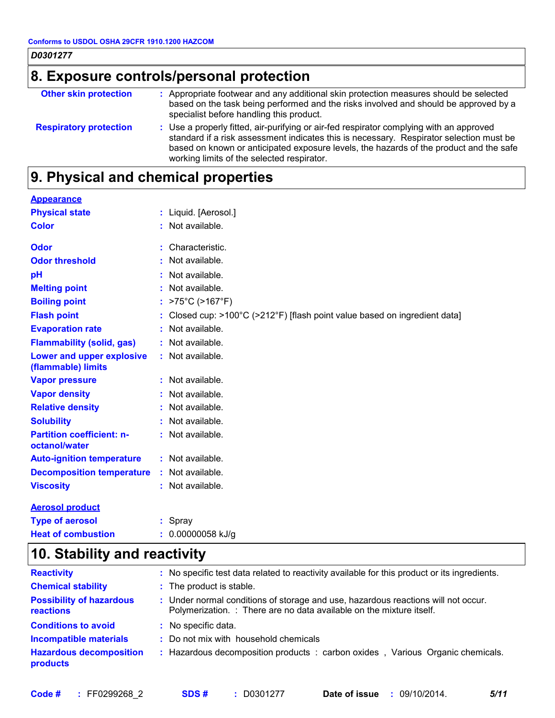| D0301277<br>8. Exposure controls/personal protection |                                                                                                                                                                                                                                                                                                                            |  |
|------------------------------------------------------|----------------------------------------------------------------------------------------------------------------------------------------------------------------------------------------------------------------------------------------------------------------------------------------------------------------------------|--|
|                                                      |                                                                                                                                                                                                                                                                                                                            |  |
| <b>Respiratory protection</b>                        | : Use a properly fitted, air-purifying or air-fed respirator complying with an approved<br>standard if a risk assessment indicates this is necessary. Respirator selection must be<br>based on known or anticipated exposure levels, the hazards of the product and the safe<br>working limits of the selected respirator. |  |

### **9. Physical and chemical properties**

| <b>Appearance</b>                                 |                                                                                                 |
|---------------------------------------------------|-------------------------------------------------------------------------------------------------|
| <b>Physical state</b>                             | : Liquid. [Aerosol.]                                                                            |
| <b>Color</b>                                      | : Not available.                                                                                |
| Odor                                              | Characteristic.                                                                                 |
| <b>Odor threshold</b>                             | : Not available.                                                                                |
| pH                                                | : Not available.                                                                                |
| <b>Melting point</b>                              | : Not available.                                                                                |
| <b>Boiling point</b>                              | : $>75^{\circ}$ C ( $>167^{\circ}$ F)                                                           |
| <b>Flash point</b>                                | : Closed cup: $>100^{\circ}$ C ( $>212^{\circ}$ F) [flash point value based on ingredient data] |
| <b>Evaporation rate</b>                           | : Not available.                                                                                |
| <b>Flammability (solid, gas)</b>                  | : Not available.                                                                                |
| Lower and upper explosive<br>(flammable) limits   | : Not available.                                                                                |
| <b>Vapor pressure</b>                             | : Not available.                                                                                |
| <b>Vapor density</b>                              | : Not available.                                                                                |
| <b>Relative density</b>                           | $:$ Not available.                                                                              |
| <b>Solubility</b>                                 | : Not available.                                                                                |
| <b>Partition coefficient: n-</b><br>octanol/water | : Not available.                                                                                |
| <b>Auto-ignition temperature</b>                  | : Not available.                                                                                |
| <b>Decomposition temperature</b>                  | : Not available.                                                                                |
| <b>Viscosity</b>                                  | : Not available.                                                                                |
| <b>Aerosol product</b>                            |                                                                                                 |
| <b>Type of aerosol</b>                            | Spray                                                                                           |

# **10. Stability and reactivity**

**Heat of combustion :** 0.00000058 kJ/g

| <b>Reactivity</b>                            | : No specific test data related to reactivity available for this product or its ingredients.                                                              |
|----------------------------------------------|-----------------------------------------------------------------------------------------------------------------------------------------------------------|
| <b>Chemical stability</b>                    | : The product is stable.                                                                                                                                  |
| <b>Possibility of hazardous</b><br>reactions | : Under normal conditions of storage and use, hazardous reactions will not occur.<br>Polymerization. : There are no data available on the mixture itself. |
| <b>Conditions to avoid</b>                   | : No specific data.                                                                                                                                       |
| <b>Incompatible materials</b>                | : Do not mix with household chemicals                                                                                                                     |
| <b>Hazardous decomposition</b><br>products   | : Hazardous decomposition products : carbon oxides, Various Organic chemicals.                                                                            |
|                                              |                                                                                                                                                           |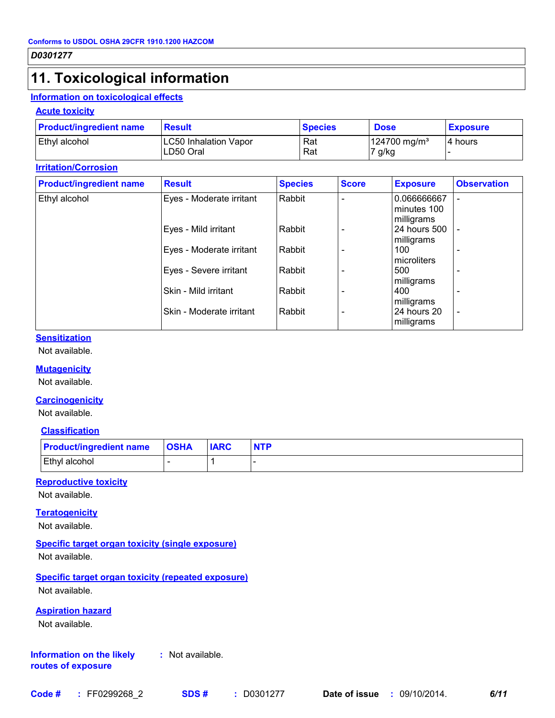### **11. Toxicological information**

#### **Information on toxicological effects**

#### **Acute toxicity**

| <b>Product/ingredient name</b> | <b>Result</b>                             | <b>Species</b> | <b>Dose</b>                        | <b>Exposure</b> |
|--------------------------------|-------------------------------------------|----------------|------------------------------------|-----------------|
| Ethyl alcohol                  | <b>LC50 Inhalation Vapor</b><br>LD50 Oral | Rat<br>Rat     | 124700 mg/m <sup>3</sup><br>7 g/kg | 4 hours         |

#### **Irritation/Corrosion**

| <b>Product/ingredient name</b> | <b>Result</b>            | <b>Species</b> | <b>Score</b> | <b>Exposure</b> | <b>Observation</b> |
|--------------------------------|--------------------------|----------------|--------------|-----------------|--------------------|
| Ethyl alcohol                  | Eyes - Moderate irritant | Rabbit         |              | 0.066666667     |                    |
|                                |                          |                |              | minutes 100     |                    |
|                                |                          |                |              | milligrams      |                    |
|                                | Eyes - Mild irritant     | Rabbit         |              | 24 hours 500    |                    |
|                                |                          |                |              | milligrams      |                    |
|                                | Eyes - Moderate irritant | Rabbit         |              | 100             |                    |
|                                |                          |                |              | microliters     |                    |
|                                | Eyes - Severe irritant   | Rabbit         |              | 500             |                    |
|                                |                          |                |              | milligrams      |                    |
|                                | Skin - Mild irritant     | Rabbit         |              | 400             |                    |
|                                |                          |                |              | milligrams      |                    |
|                                | Skin - Moderate irritant | Rabbit         |              | 24 hours 20     | $\overline{a}$     |
|                                |                          |                |              | milligrams      |                    |

#### **Sensitization**

Not available.

#### **Mutagenicity**

Not available.

#### **Carcinogenicity**

Not available.

#### **Classification**

| <b>Product/ingredient name OSHA</b> | <b>IARC</b> |  |
|-------------------------------------|-------------|--|
| Ethyl alcohol                       |             |  |

#### **Reproductive toxicity**

Not available.

#### **Teratogenicity**

Not available.

#### **Specific target organ toxicity (single exposure)**

Not available.

#### **Specific target organ toxicity (repeated exposure)**

Not available.

#### **Aspiration hazard**

Not available.

#### **Information on the likely routes of exposure :** Not available.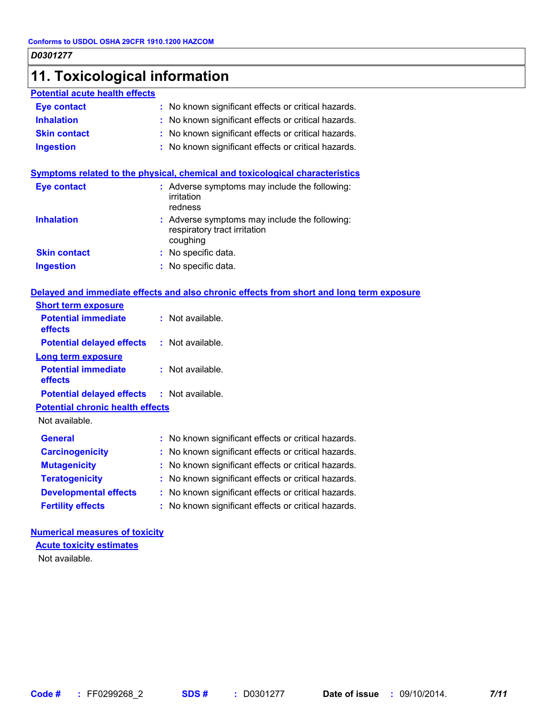### **11. Toxicological information**

#### **Potential acute health effects**

| <b>Eye contact</b> | : No known significant effects or critical hazards. |  |
|--------------------|-----------------------------------------------------|--|
|                    |                                                     |  |

**Inhalation :** No known significant effects or critical hazards.

- **Skin contact :** No known significant effects or critical hazards.
- **Ingestion :** No known significant effects or critical hazards.

#### **Symptoms related to the physical, chemical and toxicological characteristics**

| <b>Eye contact</b>  | : Adverse symptoms may include the following:<br>irritation<br>redness                    |
|---------------------|-------------------------------------------------------------------------------------------|
| <b>Inhalation</b>   | : Adverse symptoms may include the following:<br>respiratory tract irritation<br>coughing |
| <b>Skin contact</b> | : No specific data.                                                                       |
| <b>Ingestion</b>    | : No specific data.                                                                       |

#### **Delayed and immediate effects and also chronic effects from short and long term exposure**

| <b>Short term exposure</b>              |                                                     |
|-----------------------------------------|-----------------------------------------------------|
| <b>Potential immediate</b><br>effects   | $:$ Not available.                                  |
| <b>Potential delayed effects</b>        | : Not available.                                    |
| Long term exposure                      |                                                     |
| <b>Potential immediate</b><br>effects   | $:$ Not available.                                  |
| <b>Potential delayed effects</b>        | : Not available.                                    |
| <b>Potential chronic health effects</b> |                                                     |
| Not available.                          |                                                     |
| General                                 | : No known significant effects or critical hazards. |
| <b>Carcinogenicity</b>                  | : No known significant effects or critical hazards. |
| <b>Mutagenicity</b>                     | : No known significant effects or critical hazards. |
| <b>Teratogenicity</b>                   | : No known significant effects or critical hazards. |
| <b>Developmental effects</b>            | : No known significant effects or critical hazards. |
| <b>Fertility effects</b>                | : No known significant effects or critical hazards. |

#### **Numerical measures of toxicity**

Not available. **Acute toxicity estimates**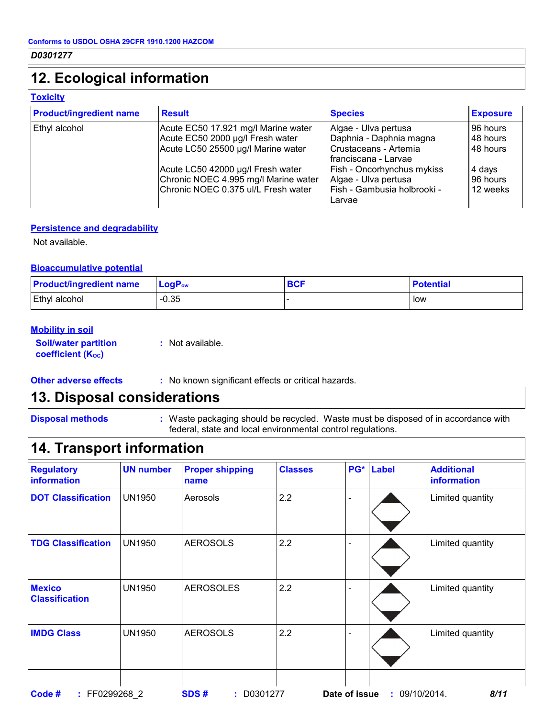### **12. Ecological information**

#### **Toxicity**

| <b>Product/ingredient name</b> | <b>Result</b>                                                                                                    | <b>Species</b>                                                                                     | <b>Exposure</b>                |
|--------------------------------|------------------------------------------------------------------------------------------------------------------|----------------------------------------------------------------------------------------------------|--------------------------------|
| Ethyl alcohol                  | Acute EC50 17.921 mg/l Marine water<br>Acute EC50 2000 µg/l Fresh water                                          | Algae - Ulva pertusa<br>Daphnia - Daphnia magna                                                    | 96 hours<br>48 hours           |
|                                | Acute LC50 25500 µg/l Marine water                                                                               | Crustaceans - Artemia<br>I franciscana - Larvae                                                    | 48 hours                       |
|                                | Acute LC50 42000 µg/l Fresh water<br>Chronic NOEC 4.995 mg/l Marine water<br>Chronic NOEC 0.375 ul/L Fresh water | <b>Fish - Oncorhynchus mykiss</b><br>Algae - Ulva pertusa<br>Fish - Gambusia holbrooki -<br>Larvae | 4 days<br>96 hours<br>12 weeks |

#### **Persistence and degradability**

Not available.

#### **Bioaccumulative potential**

| <b>Product/ingredient name</b> | $LogPow$ | <b>BCF</b> | <b>Potential</b> |
|--------------------------------|----------|------------|------------------|
| Ethyl alcohol                  | $-0.35$  |            | low              |

#### **Mobility in soil**

**Soil/water partition coefficient (KOC)**

**:** Not available.

- 
- **Other adverse effects** : No known significant effects or critical hazards.

### **13. Disposal considerations**

**Disposal methods :**

Waste packaging should be recycled. Waste must be disposed of in accordance with federal, state and local environmental control regulations.

### **14. Transport information**

| <b>Regulatory</b><br>information       | <b>UN number</b> | <b>Proper shipping</b><br>name | <b>Classes</b> | PG*           | <b>Label</b> | <b>Additional</b><br>information |
|----------------------------------------|------------------|--------------------------------|----------------|---------------|--------------|----------------------------------|
| <b>DOT Classification</b>              | <b>UN1950</b>    | Aerosols                       | 2.2            |               |              | Limited quantity                 |
| <b>TDG Classification</b>              | <b>UN1950</b>    | <b>AEROSOLS</b>                | 2.2            |               |              | Limited quantity                 |
| <b>Mexico</b><br><b>Classification</b> | <b>UN1950</b>    | <b>AEROSOLES</b>               | 2.2            |               |              | Limited quantity                 |
| <b>IMDG Class</b>                      | <b>UN1950</b>    | <b>AEROSOLS</b>                | 2.2            |               |              | Limited quantity                 |
| : FF0299268 2<br>Code #                |                  | SDS#<br>$:$ D0301277           |                | Date of issue |              | : 09/10/2014.<br>8/11            |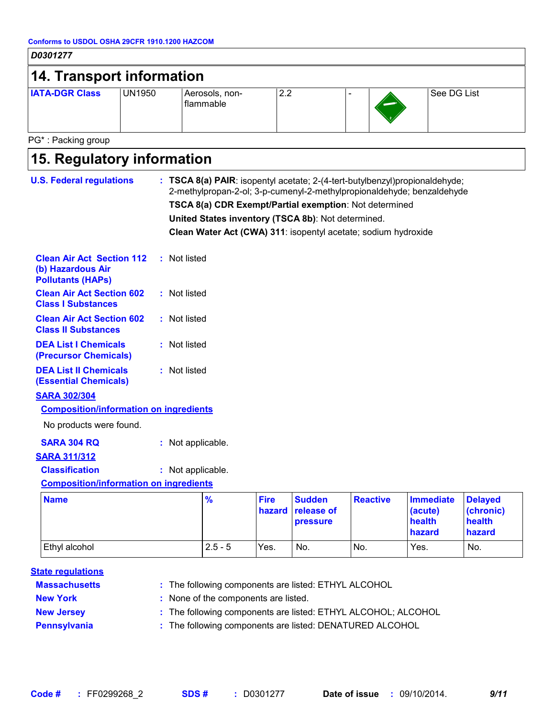### *D0301277* **14. Transport information** Aerosols, nonflammable **IATA-DGR Class** UN1950 Aerosols, non- 2.2 - - See DG List PG\* : Packing group

| 15. Regulatory information                                                                      |                                                                                                                                                                                                                                                                                                                                         |               |                       |                                                |                 |                                                 |                                                 |
|-------------------------------------------------------------------------------------------------|-----------------------------------------------------------------------------------------------------------------------------------------------------------------------------------------------------------------------------------------------------------------------------------------------------------------------------------------|---------------|-----------------------|------------------------------------------------|-----------------|-------------------------------------------------|-------------------------------------------------|
| <b>U.S. Federal regulations</b>                                                                 | : TSCA 8(a) PAIR: isopentyl acetate; 2-(4-tert-butylbenzyl)propionaldehyde;<br>2-methylpropan-2-ol; 3-p-cumenyl-2-methylpropionaldehyde; benzaldehyde<br>TSCA 8(a) CDR Exempt/Partial exemption: Not determined<br>United States inventory (TSCA 8b): Not determined.<br>Clean Water Act (CWA) 311: isopentyl acetate; sodium hydroxide |               |                       |                                                |                 |                                                 |                                                 |
| <b>Clean Air Act Section 112</b><br>(b) Hazardous Air<br><b>Pollutants (HAPs)</b>               | : Not listed                                                                                                                                                                                                                                                                                                                            |               |                       |                                                |                 |                                                 |                                                 |
| <b>Clean Air Act Section 602</b><br><b>Class I Substances</b>                                   | : Not listed                                                                                                                                                                                                                                                                                                                            |               |                       |                                                |                 |                                                 |                                                 |
| <b>Clean Air Act Section 602</b><br><b>Class II Substances</b>                                  | : Not listed                                                                                                                                                                                                                                                                                                                            |               |                       |                                                |                 |                                                 |                                                 |
| <b>DEA List I Chemicals</b><br>(Precursor Chemicals)                                            | : Not listed                                                                                                                                                                                                                                                                                                                            |               |                       |                                                |                 |                                                 |                                                 |
| <b>DEA List II Chemicals</b><br><b>(Essential Chemicals)</b>                                    | : Not listed                                                                                                                                                                                                                                                                                                                            |               |                       |                                                |                 |                                                 |                                                 |
| <b>SARA 302/304</b><br><b>Composition/information on ingredients</b><br>No products were found. |                                                                                                                                                                                                                                                                                                                                         |               |                       |                                                |                 |                                                 |                                                 |
| <b>SARA 304 RQ</b><br><b>SARA 311/312</b><br><b>Classification</b>                              | : Not applicable.<br>: Not applicable.                                                                                                                                                                                                                                                                                                  |               |                       |                                                |                 |                                                 |                                                 |
| <b>Composition/information on ingredients</b>                                                   |                                                                                                                                                                                                                                                                                                                                         |               |                       |                                                |                 |                                                 |                                                 |
| <b>Name</b>                                                                                     |                                                                                                                                                                                                                                                                                                                                         | $\frac{9}{6}$ | <b>Fire</b><br>hazard | <b>Sudden</b><br>release of<br><b>pressure</b> | <b>Reactive</b> | <b>Immediate</b><br>(acute)<br>health<br>hazard | <b>Delayed</b><br>(chronic)<br>health<br>hazard |
| Ethyl alcohol                                                                                   |                                                                                                                                                                                                                                                                                                                                         | $2.5 - 5$     | Yes.                  | No.                                            | No.             | Yes.                                            | No.                                             |

- 
- 
- **New York :** None of the components are listed.
- 
- 
- **New Jersey :** The following components are listed: ETHYL ALCOHOL; ALCOHOL
- **Pennsylvania :** The following components are listed: DENATURED ALCOHOL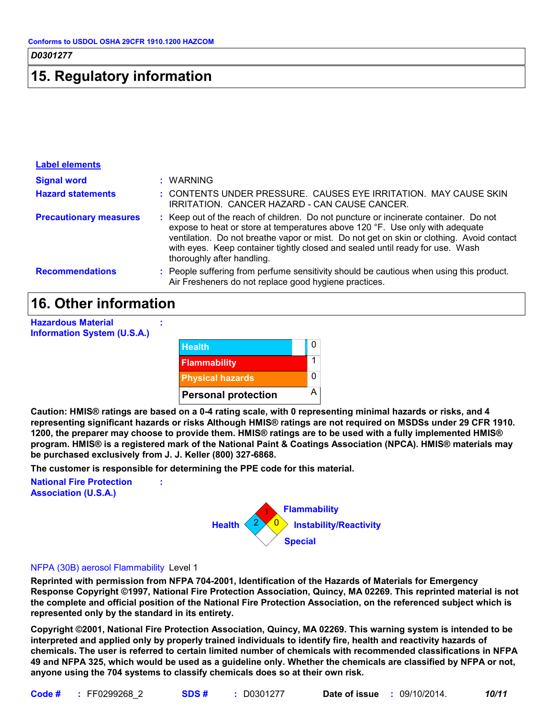### **15. Regulatory information**

| <b>Label elements</b>         |                                                                                                                                                                                                                                                                                                                                                                                 |
|-------------------------------|---------------------------------------------------------------------------------------------------------------------------------------------------------------------------------------------------------------------------------------------------------------------------------------------------------------------------------------------------------------------------------|
| <b>Signal word</b>            | : WARNING                                                                                                                                                                                                                                                                                                                                                                       |
| <b>Hazard statements</b>      | : CONTENTS UNDER PRESSURE. CAUSES EYE IRRITATION. MAY CAUSE SKIN<br>IRRITATION. CANCER HAZARD - CAN CAUSE CANCER.                                                                                                                                                                                                                                                               |
| <b>Precautionary measures</b> | : Keep out of the reach of children. Do not puncture or incinerate container. Do not<br>expose to heat or store at temperatures above 120 °F. Use only with adequate<br>ventilation. Do not breathe vapor or mist. Do not get on skin or clothing. Avoid contact<br>with eyes. Keep container tightly closed and sealed until ready for use. Wash<br>thoroughly after handling. |
| <b>Recommendations</b>        | : People suffering from perfume sensitivity should be cautious when using this product.<br>Air Fresheners do not replace good hygiene practices.                                                                                                                                                                                                                                |

### **16. Other information**

| <b>Hazardous Material</b><br><b>Information System (U.S.A.)</b> |                            |   |
|-----------------------------------------------------------------|----------------------------|---|
|                                                                 | <b>Health</b>              | 0 |
|                                                                 | <b>Flammability</b>        |   |
|                                                                 | <b>Physical hazards</b>    | 0 |
|                                                                 | <b>Personal protection</b> | Α |

**Caution: HMIS® ratings are based on a 0-4 rating scale, with 0 representing minimal hazards or risks, and 4 representing significant hazards or risks Although HMIS® ratings are not required on MSDSs under 29 CFR 1910. 1200, the preparer may choose to provide them. HMIS® ratings are to be used with a fully implemented HMIS® program. HMIS® is a registered mark of the National Paint & Coatings Association (NPCA). HMIS® materials may be purchased exclusively from J. J. Keller (800) 327-6868.**

**The customer is responsible for determining the PPE code for this material.**

**:**

**National Fire Protection Association (U.S.A.)**



#### NFPA (30B) aerosol Flammability Level 1

**Reprinted with permission from NFPA 704-2001, Identification of the Hazards of Materials for Emergency Response Copyright ©1997, National Fire Protection Association, Quincy, MA 02269. This reprinted material is not the complete and official position of the National Fire Protection Association, on the referenced subject which is represented only by the standard in its entirety.**

**Copyright ©2001, National Fire Protection Association, Quincy, MA 02269. This warning system is intended to be interpreted and applied only by properly trained individuals to identify fire, health and reactivity hazards of chemicals. The user is referred to certain limited number of chemicals with recommended classifications in NFPA 49 and NFPA 325, which would be used as a guideline only. Whether the chemicals are classified by NFPA or not, anyone using the 704 systems to classify chemicals does so at their own risk.**